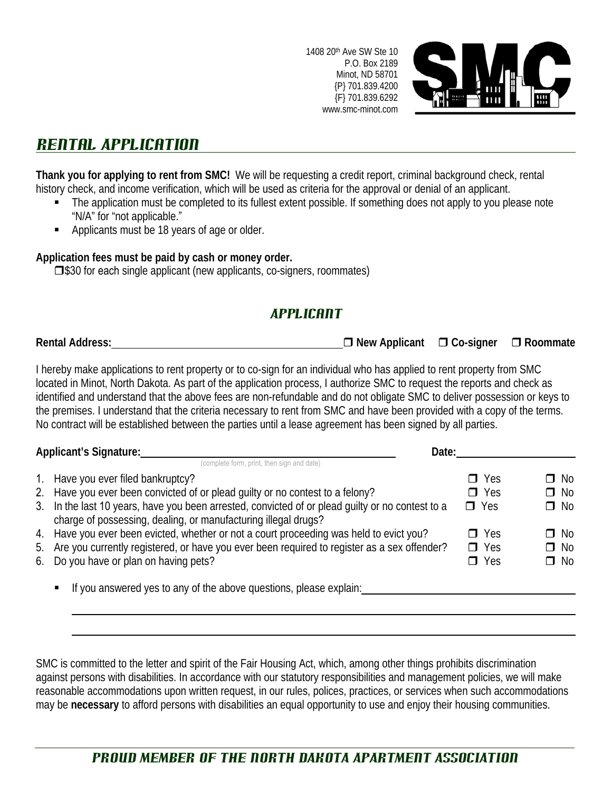1408 20th Ave SW Ste 10 P.O. Box 2189 Minot, ND 58701 {P} 701.839.4200 {F} 701.839.6292 www.smc-minot.com



# Rental Application

**Thank you for applying to rent from SMC!** We will be requesting a credit report, criminal background check, rental history check, and income verification, which will be used as criteria for the approval or denial of an applicant.

- The application must be completed to its fullest extent possible. If something does not apply to you please note "N/A" for "not applicable."
- Applicants must be 18 years of age or older.

#### **Application fees must be paid by cash or money order.**

 $\square$ \$30 for each single applicant (new applicants, co-signers, roommates)

# Applicant

**Rental Address: New Applicant Co-signer Roommate**

I hereby make applications to rent property or to co-sign for an individual who has applied to rent property from SMC located in Minot, North Dakota. As part of the application process, I authorize SMC to request the reports and check as identified and understand that the above fees are non-refundable and do not obligate SMC to deliver possession or keys to the premises. I understand that the criteria necessary to rent from SMC and have been provided with a copy of the terms. No contract will be established between the parties until a lease agreement has been signed by all parties.

| Applicant's Signature:<br>Date: |                                                                                                                                                                    |            |           |
|---------------------------------|--------------------------------------------------------------------------------------------------------------------------------------------------------------------|------------|-----------|
|                                 | (complete form, print, then sign and date)                                                                                                                         |            |           |
| $1_{\cdot}$                     | Have you ever filed bankruptcy?                                                                                                                                    | $\Box$ Yes | $\Box$ No |
|                                 | 2. Have you ever been convicted of or plead guilty or no contest to a felony?                                                                                      | $\Box$ Yes | $\Box$ No |
|                                 | 3. In the last 10 years, have you been arrested, convicted of or plead guilty or no contest to a<br>charge of possessing, dealing, or manufacturing illegal drugs? | $\Box$ Yes | $\Box$ No |
|                                 | 4. Have you ever been evicted, whether or not a court proceeding was held to evict you?                                                                            | $\Box$ Yes | $\Box$ No |
|                                 | 5. Are you currently registered, or have you ever been required to register as a sex offender?                                                                     | $\Box$ Yes | $\Box$ No |
|                                 | 6. Do you have or plan on having pets?                                                                                                                             | $\Box$ Yes | $\Box$ No |
|                                 | If you answered yes to any of the above questions, please explain:                                                                                                 |            |           |
|                                 |                                                                                                                                                                    |            |           |

SMC is committed to the letter and spirit of the Fair Housing Act, which, among other things prohibits discrimination against persons with disabilities. In accordance with our statutory responsibilities and management policies, we will make reasonable accommodations upon written request, in our rules, polices, practices, or services when such accommodations may be **necessary** to afford persons with disabilities an equal opportunity to use and enjoy their housing communities.